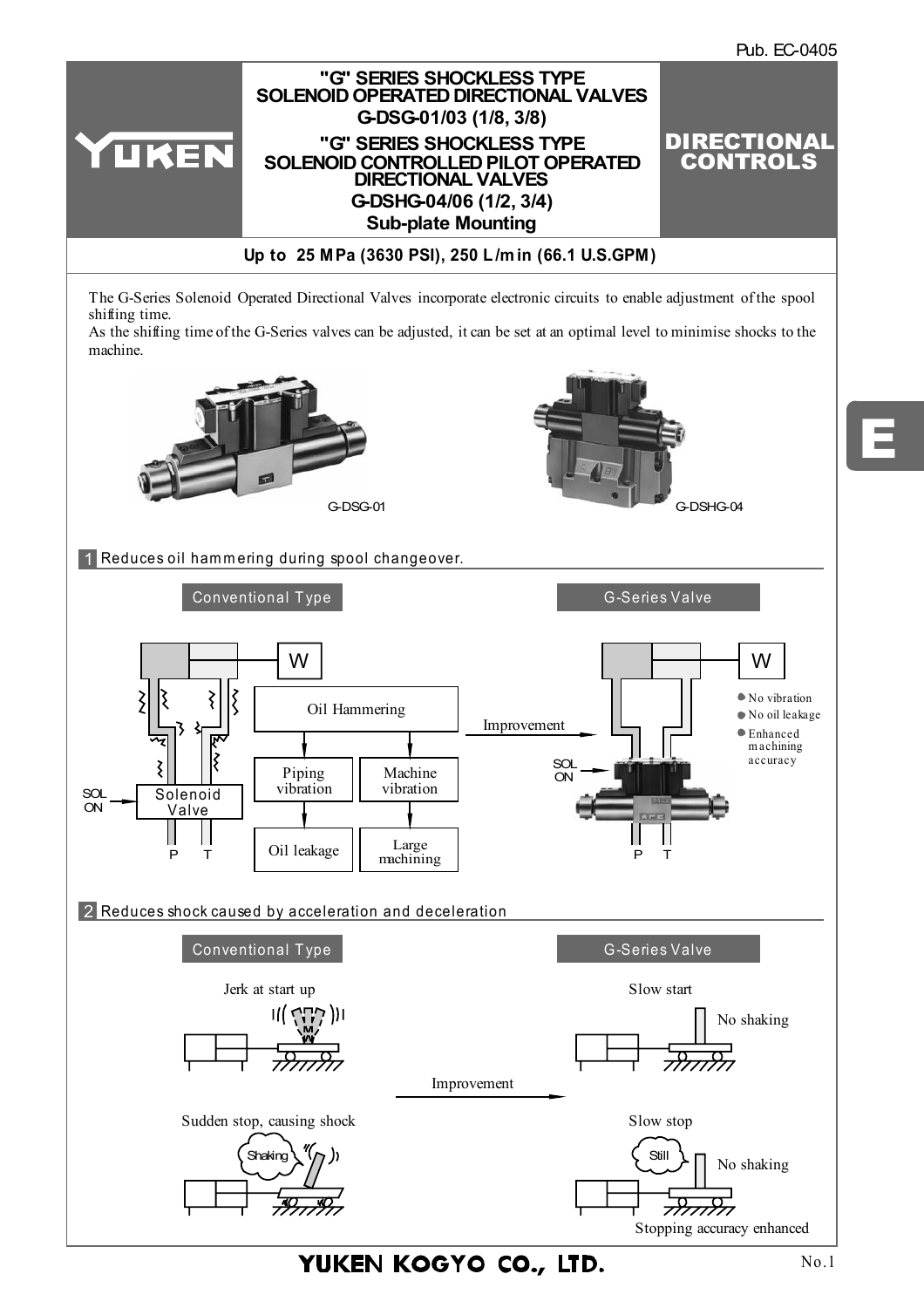

YUKEN KOGYO CO., LTD.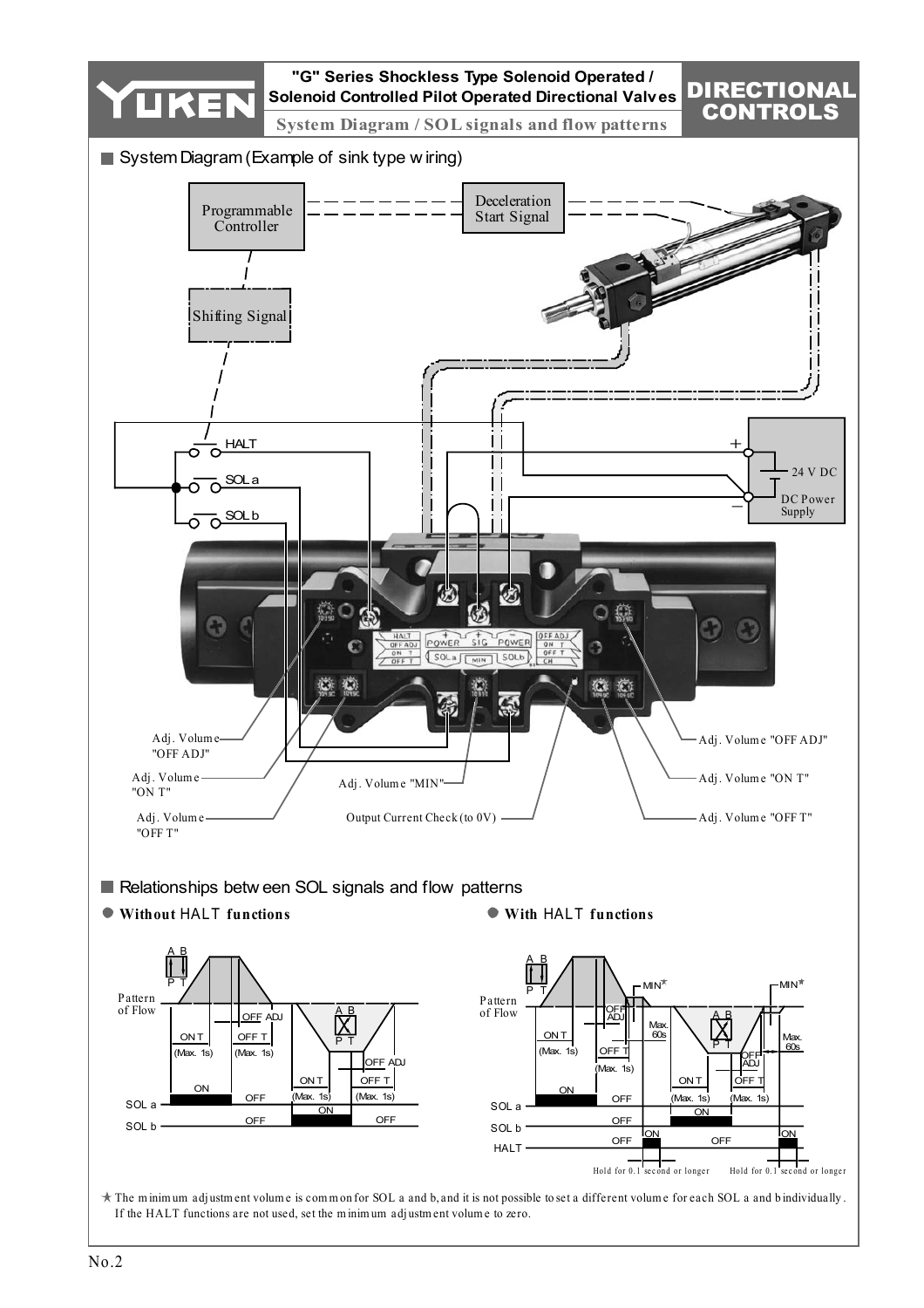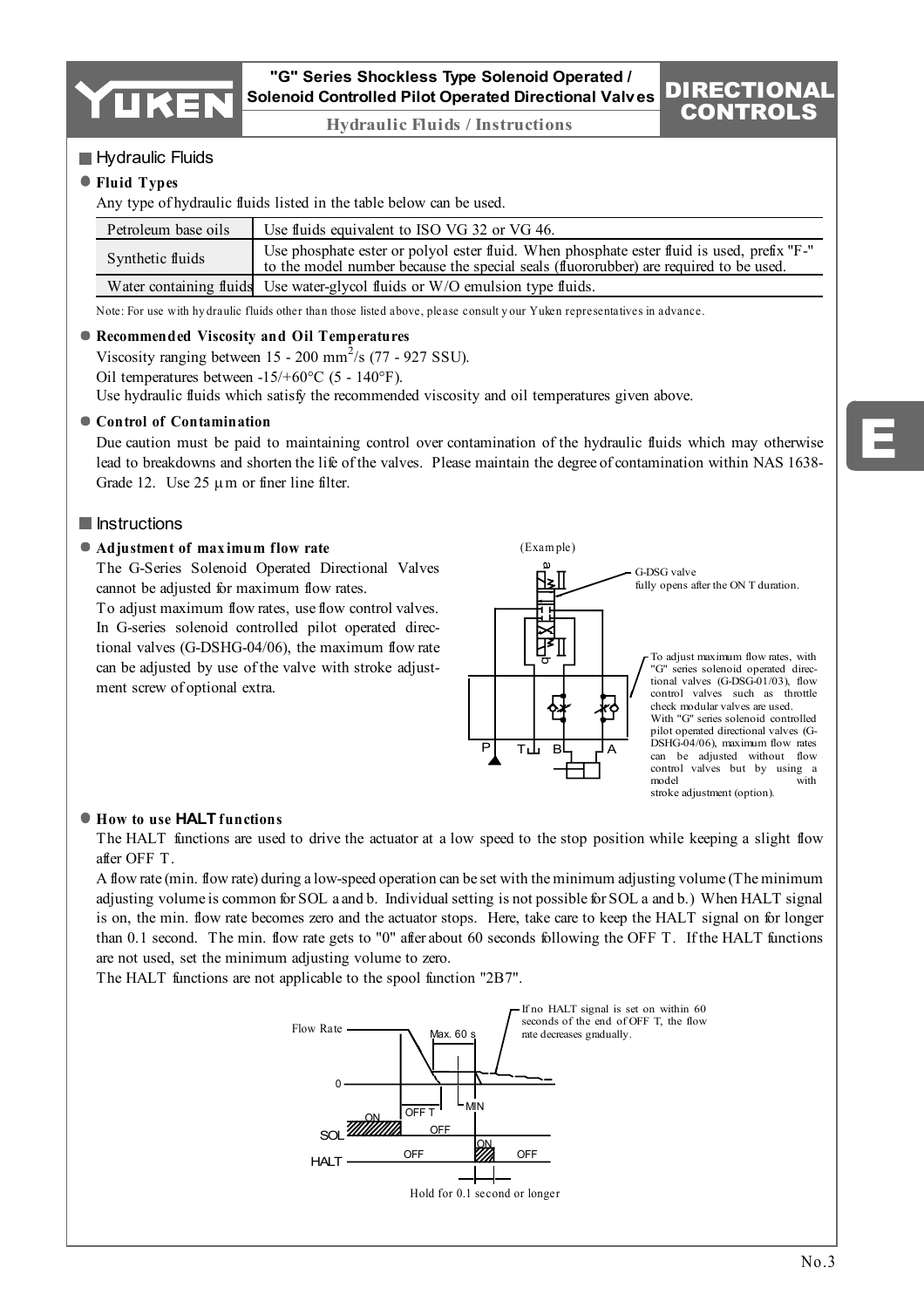

# **"G" Series Shockless Type Solenoid Operated / Solenoid Controlled Pilot Operated Directional Valves**

**Hydraulic Fluids / Instructions**

# **Hydraulic Fluids**

## **Fluid Types**

Any type of hydraulic fluids listed in the table below can be used.

| Petroleum base oils | Use fluids equivalent to ISO VG 32 or VG 46.                                                                                                                                        |
|---------------------|-------------------------------------------------------------------------------------------------------------------------------------------------------------------------------------|
| Synthetic fluids    | Use phosphate ester or polyol ester fluid. When phosphate ester fluid is used, prefix "F-"<br>to the model number because the special seals (fluororubber) are required to be used. |
|                     | Water containing fluids Use water-glycol fluids or W/O emulsion type fluids.                                                                                                        |

Note: For use with hy draulic fluids other than those listed above, please consult y our Yuken representatives in advance.

## **Recommended Viscosity and Oil Temperatures**

Viscosity ranging between  $15 - 200$  mm<sup>2</sup>/s (77 - 927 SSU).

Oil temperatures between -15/+60°C (5 - 140°F).

Use hydraulic fluids which satisfy the recommended viscosity and oil temperatures given above.

#### **Control of Contamination**

Due caution must be paid to maintaining control over contamination of the hydraulic fluids which may otherwise lead to breakdowns and shorten the life of the valves. Please maintain the degree of contamination within NAS 1638- Grade 12. Use  $25 \mu m$  or finer line filter.

# **Instructions**

#### **Adjustment of max imum flow rate**

The G-Series Solenoid Operated Directional Valves cannot be adjusted for maximum flow rates.

To adjust maximum flow rates, use flow control valves. In G-series solenoid controlled pilot operated directional valves (G-DSHG-04/06), the maximum flow rate can be adjusted by use of the valve with stroke adjustment screw of optional extra.



#### **How to use HALT functions**

The HALT functions are used to drive the actuator at a low speed to the stop position while keeping a slight flow after OFF T.

A flow rate (min. flow rate) during a low-speed operation can be set with the minimum adjusting volume (The minimum adjusting volume is common for SOL a and b. Individual setting is not possible for SOL a and b.) When HALT signal is on, the min. flow rate becomes zero and the actuator stops. Here, take care to keep the HALT signal on for longer than 0.1 second. The min. flow rate gets to "0" after about 60 seconds following the OFF T. If the HALT functions are not used, set the minimum adjusting volume to zero.

The HALT functions are not applicable to the spool function "2B7".



DIRECTIONAL CONTROLS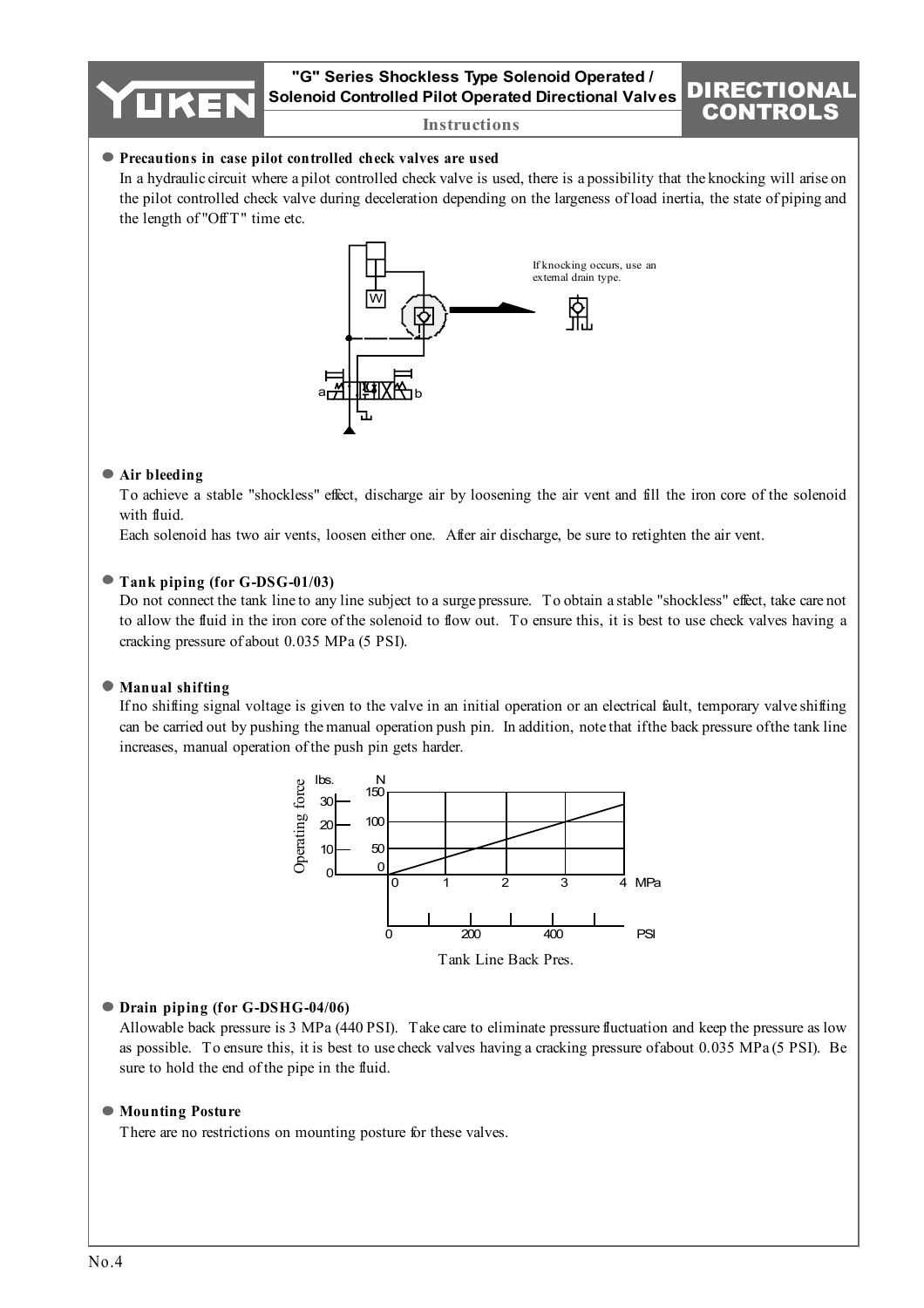**"G" Series Shockless Type Solenoid Operated / Solenoid Controlled Pilot Operated Directional Valves**

DIRECTIONAL



#### **Precautions in case pilot controlled check valves are used**

In a hydraulic circuit where a pilot controlled check valve is used, there is a possibility that the knocking will arise on the pilot controlled check valve during deceleration depending on the largeness of load inertia, the state of piping and the length of "OffT" time etc.



#### **Air bleeding**

To achieve a stable "shockless" effect, discharge air by loosening the air vent and fill the iron core of the solenoid with fluid.

Each solenoid has two air vents, loosen either one. After air discharge, be sure to retighten the air vent.

#### **Tank piping (for G-DSG-01/03)**

Do not connect the tank line to any line subject to a surge pressure. To obtain a stable "shockless" effect, take care not to allow the fluid in the iron core of the solenoid to flow out. To ensure this, it is best to use check valves having a cracking pressure of about 0.035 MPa (5 PSI).

#### **Manual shifting**

If no shifting signal voltage is given to the valve in an initial operation or an electrical fault, temporary valve shifting can be carried out by pushing the manual operation push pin. In addition, note that if the back pressure of the tank line increases, manual operation of the push pin gets harder.



#### Tank Line Back Pres.

#### **Drain piping (for G-DSHG-04/06)**

Allowable back pressure is 3 MPa (440 PSI). Take care to eliminate pressure fluctuation and keep the pressure as low as possible. To ensure this, it is best to use check valves having a cracking pressure of about 0.035 MPa (5 PSI). Be sure to hold the end of the pipe in the fluid.

#### **Mounting Posture**

There are no restrictions on mounting posture for these valves.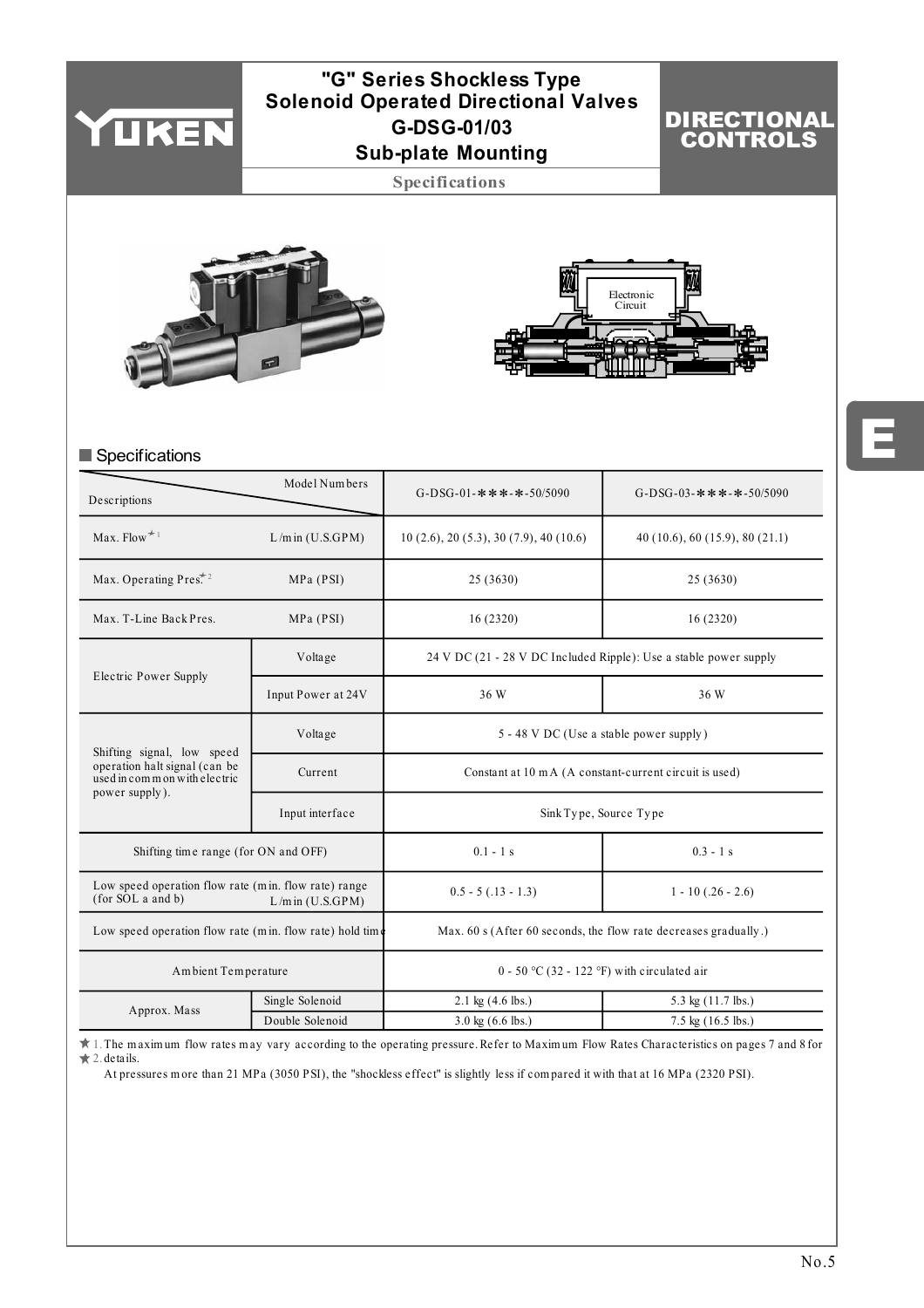

# **"G" Series Shockless Type Solenoid Operated Directional Valves Sub-plate Mounting G-DSG-01/03**

DIRECTIONAL CONTROLS

**Specifications**





# Specifications

| Descriptions                                                              | Model Numbers        | G-DSG-01-***-*-50/5090                                            | G-DSG-03-***-*-50/5090       |  |  |  |
|---------------------------------------------------------------------------|----------------------|-------------------------------------------------------------------|------------------------------|--|--|--|
| Max. Flow $*$ <sup>1</sup>                                                | $L/m$ in $(U.S.GPM)$ |                                                                   | 40(10.6), 60(15.9), 80(21.1) |  |  |  |
| Max. Operating Pres <sup>*2</sup>                                         | MPa (PSI)            | 25 (3630)                                                         | 25 (3630)                    |  |  |  |
| Max. T-Line Back Pres.                                                    | MPa (PSI)            | 16(2320)                                                          | 16(2320)                     |  |  |  |
|                                                                           | Voltage              | 24 V DC (21 - 28 V DC Included Ripple): Use a stable power supply |                              |  |  |  |
| Electric Power Supply                                                     | Input Power at 24V   | 36 W                                                              | 36 W                         |  |  |  |
| Shifting signal, low speed                                                | Voltage              | 5 - 48 V DC (Use a stable power supply)                           |                              |  |  |  |
| operation halt signal (can be<br>used in common with electric             | Current              | Constant at 10 m A (A constant-current circuit is used)           |                              |  |  |  |
| power supply).                                                            | Input interface      | Sink Type, Source Type                                            |                              |  |  |  |
| Shifting time range (for ON and OFF)                                      |                      | $0.1 - 1 s$                                                       | $0.3 - 1 s$                  |  |  |  |
| Low speed operation flow rate (min. flow rate) range<br>(for SOL a and b) | $L/m$ in $(U.S.GPM)$ | $0.5 - 5(.13 - 1.3)$<br>$1 - 10(.26 - 2.6)$                       |                              |  |  |  |
| Low speed operation flow rate (min. flow rate) hold time                  |                      | Max. 60 s (After 60 seconds, the flow rate decreases gradually.)  |                              |  |  |  |
| Ambient Temperature                                                       |                      | 0 - 50 °C (32 - 122 °F) with circulated air                       |                              |  |  |  |
| Approx. Mass                                                              | Single Solenoid      | $2.1 \text{ kg} (4.6 \text{ lbs.})$                               | 5.3 kg (11.7 lbs.)           |  |  |  |
|                                                                           | Double Solenoid      | $3.0 \text{ kg}$ (6.6 lbs.)                                       | $7.5 \text{ kg}$ (16.5 lbs.) |  |  |  |

1. The m axim um flow rates m ay vary according to the operating pressure. Refer to Maxim um Flow Rates Characteristics on pages 7 and 8 for 2. details.

At pressures m ore than 21 MPa (3050 PSI), the "shockless effect" is slightly less if com pared it with that at 16 MPa (2320 PSI).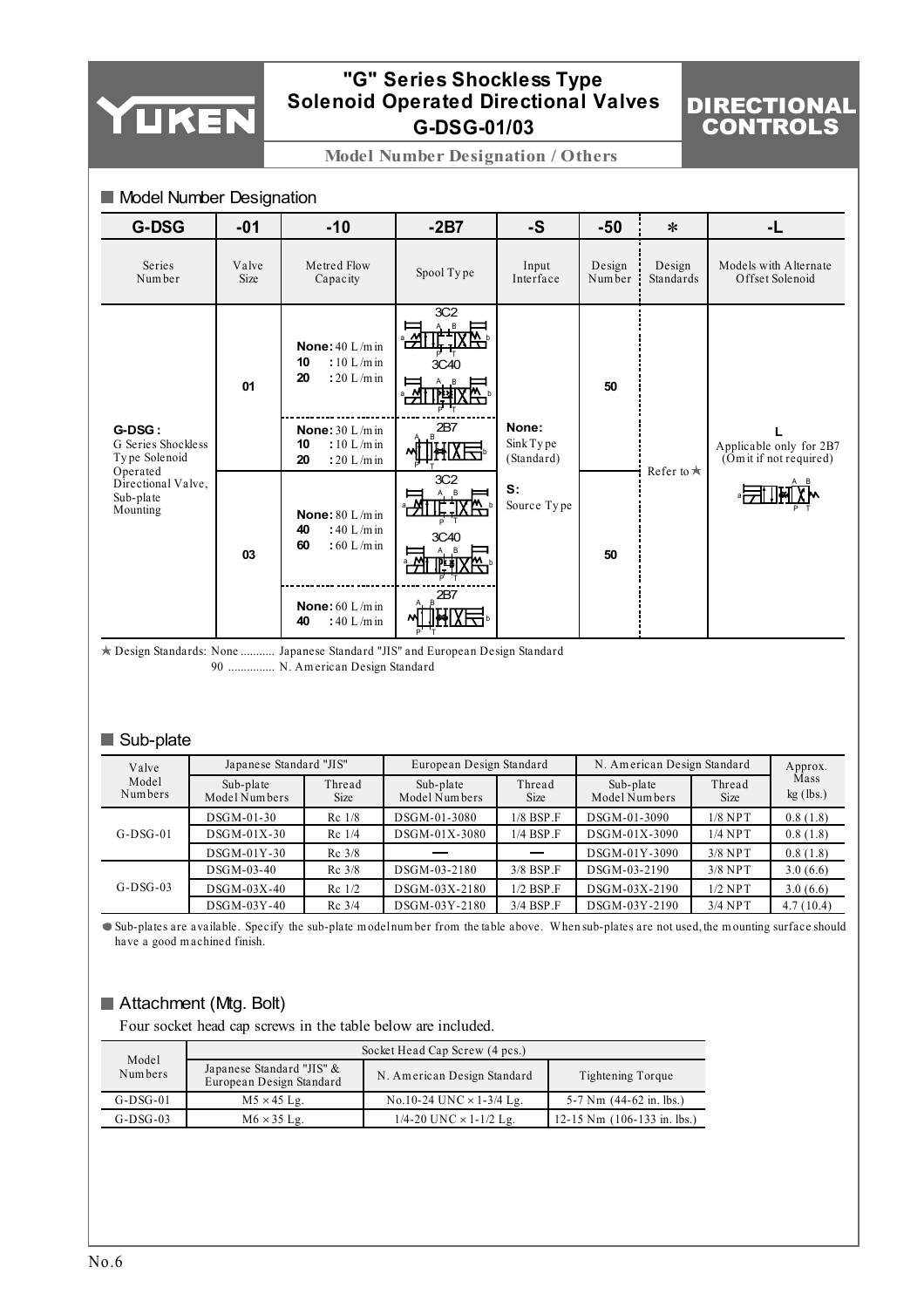

# **"G" Series Shockless Type Solenoid Operated Directional Valves G-DSG-01/03**

# DIRECTIONAL **CONTROLS**

 $\mathbf{I}$ 

**Model Number Designation / Others**

| <b>Model Number Designation</b> |     |     |  |  |  |  |  |
|---------------------------------|-----|-----|--|--|--|--|--|
| G-DSG                           | -01 | -10 |  |  |  |  |  |

| G-DSG                                                   | $-01$         | $-10$                                                                 | $-2B7$                               | -S                               | $-50$            | $\ast$              | -L                                                 |
|---------------------------------------------------------|---------------|-----------------------------------------------------------------------|--------------------------------------|----------------------------------|------------------|---------------------|----------------------------------------------------|
| Series<br>Number                                        | Valve<br>Size | Metred Flow<br>Capacity                                               | Spool Type                           | Input<br>Interface               | Design<br>Number | Design<br>Standards | Models with Alternate<br>Offset Solenoid           |
|                                                         | 01            | None: $40 L/m$ in<br>$:10$ L/m in<br>10<br>20<br>: $20 L/m$ in        | 3C <sub>2</sub><br>A, B<br>۳<br>3C40 |                                  | 50               |                     |                                                    |
| G-DSG:<br>G Series Shockless<br>Type Solenoid           |               | <b>None:</b> $30 L/m$ in<br>$:10 L/m$ in<br>10<br>20<br>: $20 L/m$ in | 2B7                                  | None:<br>Sink Type<br>(Standard) |                  |                     | Applicable only for 2B7<br>(Om it if not required) |
| Operated<br>Directional Valve,<br>Sub-plate<br>Mounting | 03            | None: $80 L/m$ in<br>40<br>: 40 L/m in<br>60<br>$:60$ L/m in          | 3C <sub>2</sub><br>3C40              | S:<br>Source Type                | 50               | Refer to $\star$    |                                                    |
|                                                         |               | None: $60 L/m$ in<br>: 40 L/m in<br>40                                | 2B7                                  |                                  |                  |                     |                                                    |

Design Standards: None ........... Japanese Standard "JIS" and European Design Standard 90 N. Am erican Design Standard ...............

# Sub-plate

| Valve            | Japanese Standard "JIS"    |                       | European Design Standard   |                       | N. American Design Standard | Approx.               |                     |
|------------------|----------------------------|-----------------------|----------------------------|-----------------------|-----------------------------|-----------------------|---------------------|
| Model<br>Numbers | Sub-plate<br>Model Numbers | Thread<br><b>Size</b> | Sub-plate<br>Model Numbers | Thread<br><b>Size</b> | Sub-plate<br>Model Numbers  | Thread<br><b>Size</b> | Mass<br>$kg$ (lbs.) |
|                  | $DSGM-01-30$               | $Rc$ 1/8              | DSGM-01-3080               | $1/8$ BSP $\Gamma$    | DSGM-01-3090                | $1/8$ NPT             | 0.8(1.8)            |
| $G-DSG-01$       | $DSGM-01X-30$              | Rc 1/4                | DSGM-01X-3080              | $1/4$ BSP $\Gamma$    | DSGM-01X-3090               | $1/4$ NPT             | 0.8(1.8)            |
|                  | $DSGM-01Y-30$              | $Rc$ 3/8              |                            |                       | DSGM-01Y-3090               | $3/8$ NPT             | 0.8(1.8)            |
|                  | $DSGM-03-40$               | $Rc$ 3/8              | DSGM-03-2180               | $3/8$ BSP F           | DSGM-03-2190                | $3/8$ NPT             | 3.0(6.6)            |
| $G-DSG-03$       | $DSGM-03X-40$              | $Re$ 1/2              | DSGM-03X-2180              | $1/2$ BSP $\Gamma$    | DSGM-03X-2190               | $1/2$ NPT             | 3.0(6.6)            |
|                  | $DSGM-03Y-40$              | $Rc$ 3/4              | DSGM-03Y-2180              | $3/4$ BSP F           | DSGM-03Y-2190               | $3/4$ NPT             | 4.7(10.4)           |

Sub-plates are available. Specify the sub-plate m odel num ber from the table above. W hen sub-plates are not used, the m ounting surface should have a good m achined finish.

# Attachment (Mtg. Bolt)

Four socket head cap screws in the table below are included.

|                                                                           |                    | Socket Head Cap Screw (4 pcs.)    |                                               |  |  |  |  |  |  |
|---------------------------------------------------------------------------|--------------------|-----------------------------------|-----------------------------------------------|--|--|--|--|--|--|
| Model<br>Japanese Standard "JIS" &<br>Numbers<br>European Design Standard |                    | N. American Design Standard       | Tightening Torque                             |  |  |  |  |  |  |
| $G-DSG-01$                                                                | $M5 \times 45$ Lg. | No.10-24 UNC $\times$ 1-3/4 Lg.   | 5-7 Nm $(44-62 \text{ in.} \text{ lbs.})$     |  |  |  |  |  |  |
| $G$ -DS $G$ -03                                                           | $M6 \times 35$ Lg. | $1/4 - 20$ UNC $\times$ 1-1/2 Lg. | 12-15 Nm $(106-133 \text{ in.} \text{ lbs.})$ |  |  |  |  |  |  |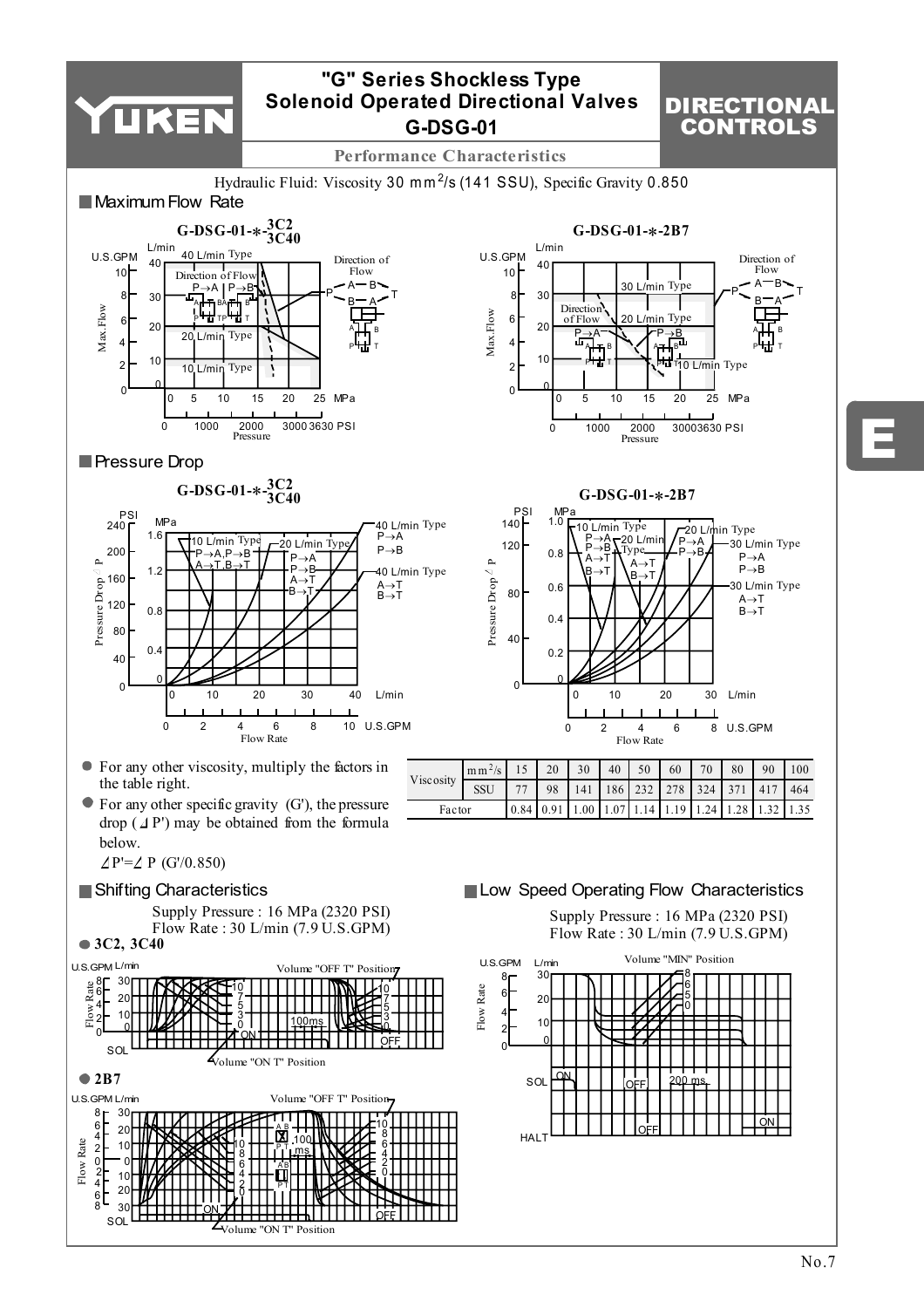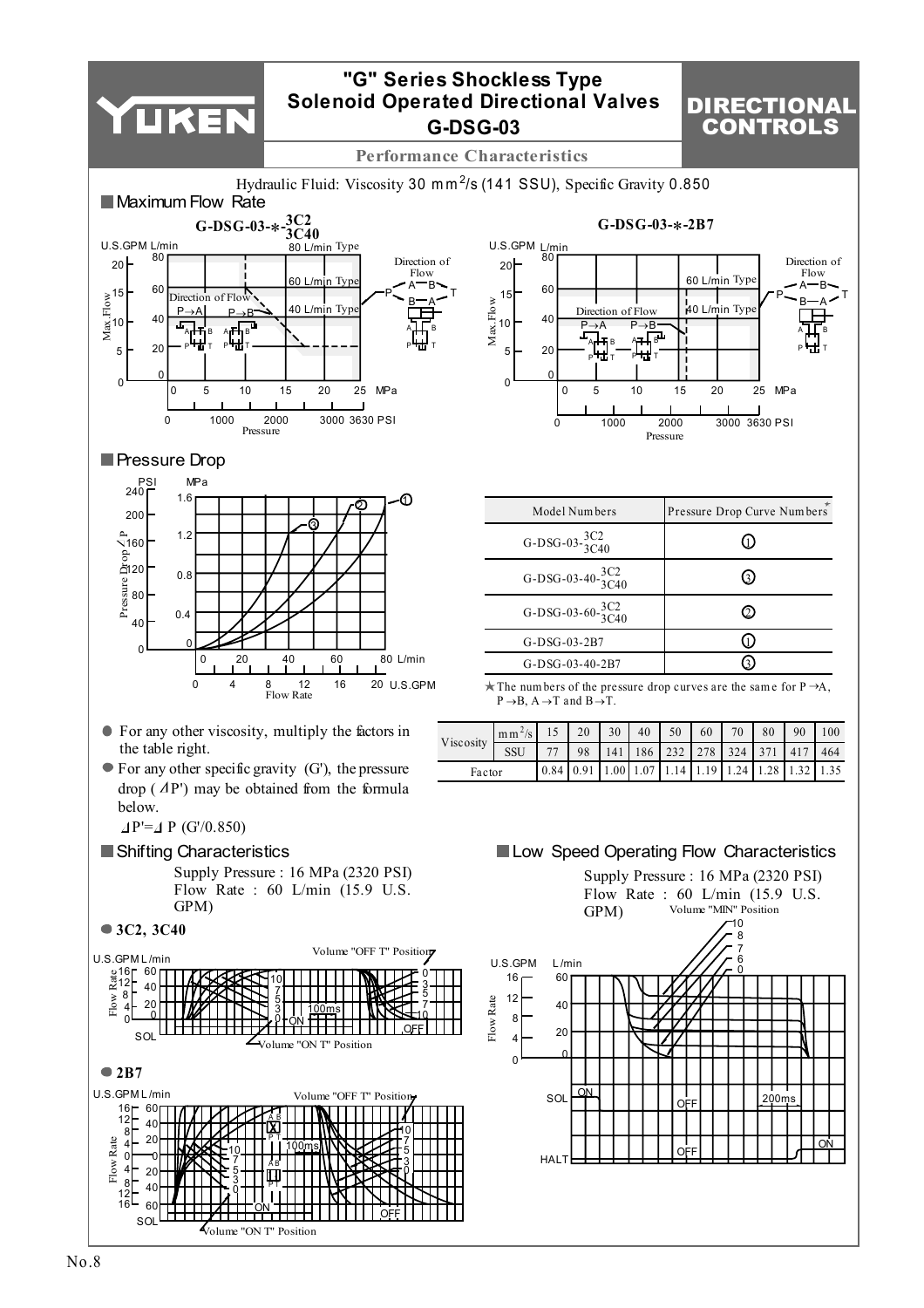

# DIRECTIONAL CONTROLS

**Performance Characteristics**



OFF

<del>1Ш їїнн</del>

Volume "ON T" Position

 $SO<sub>1</sub>$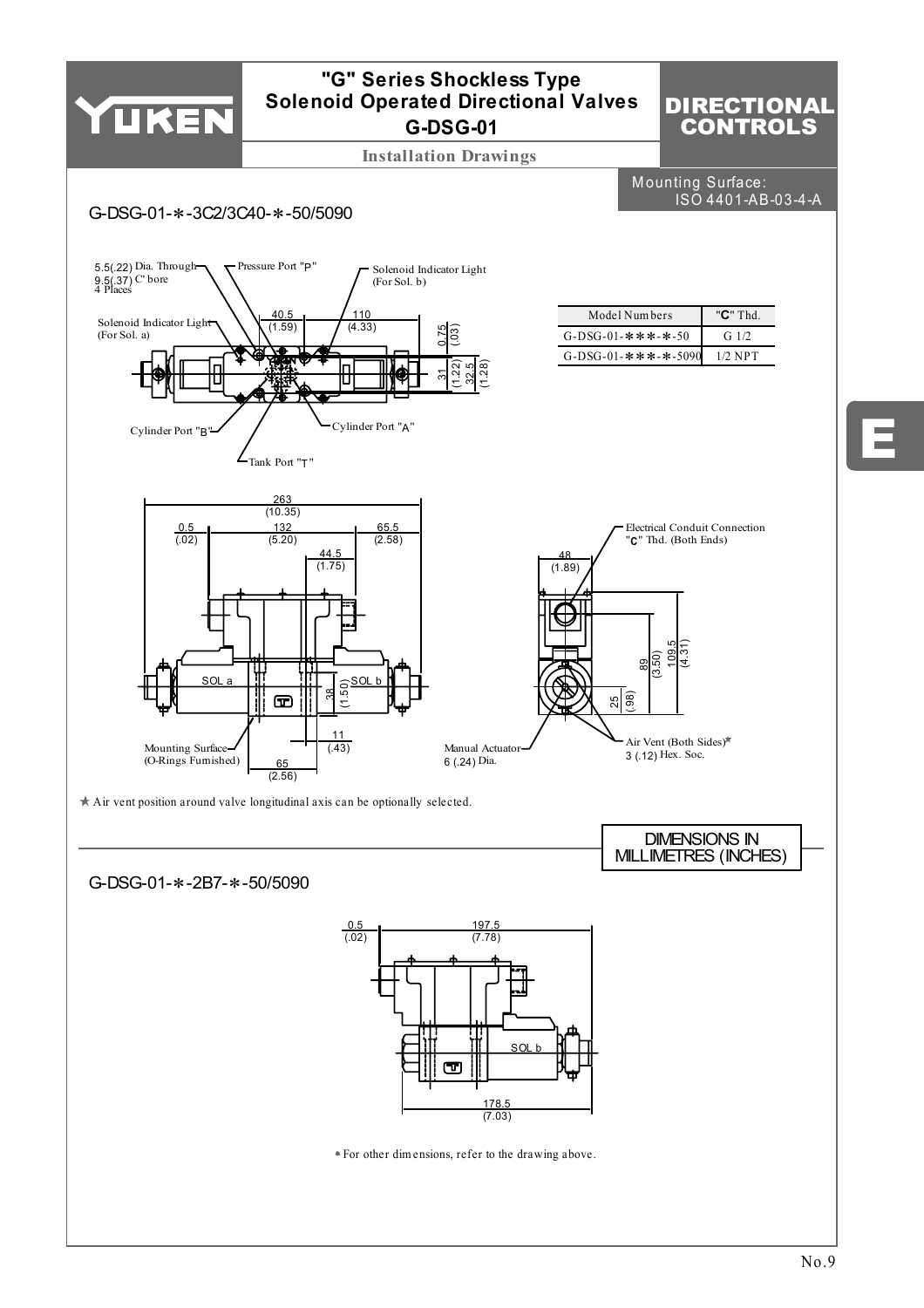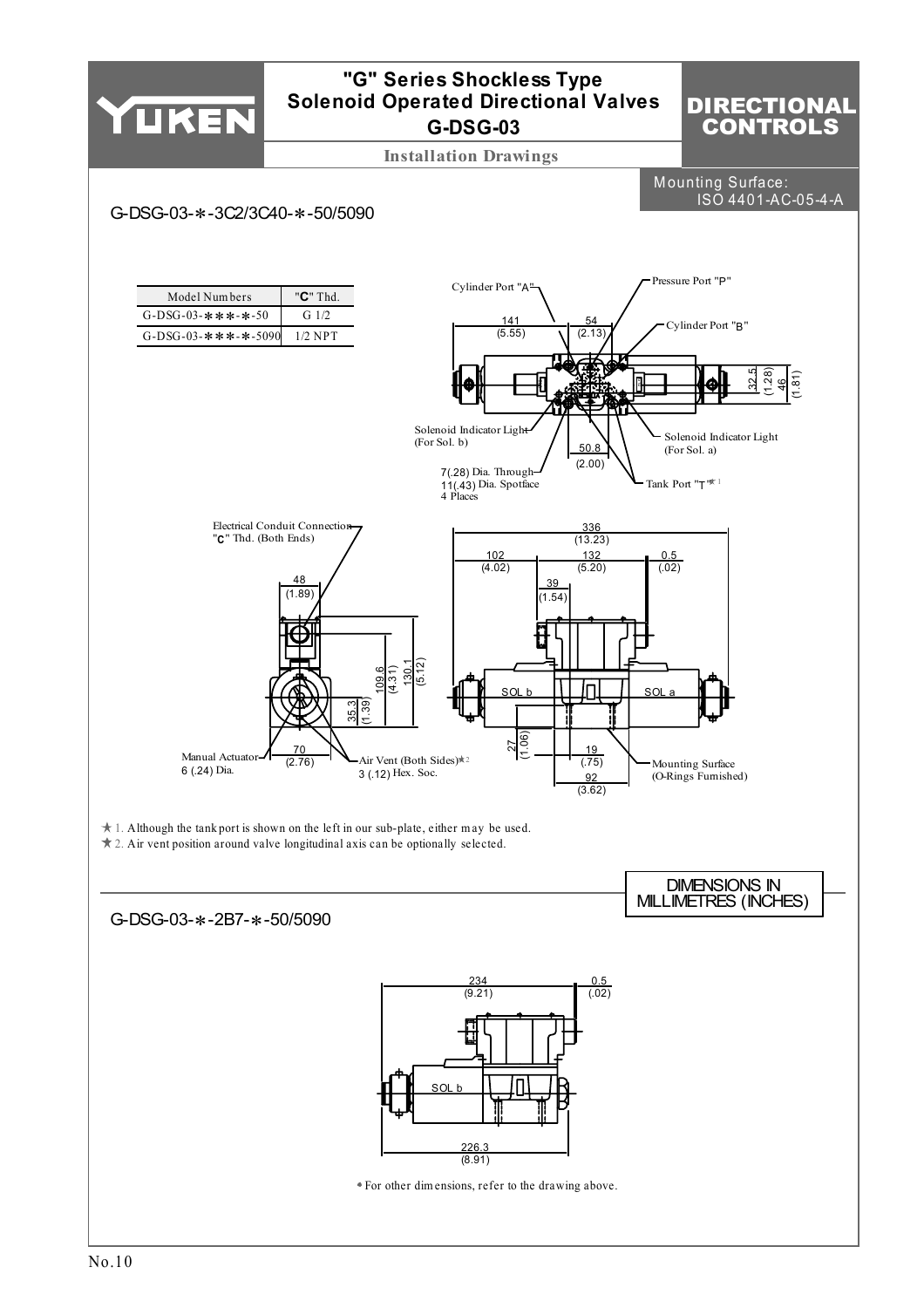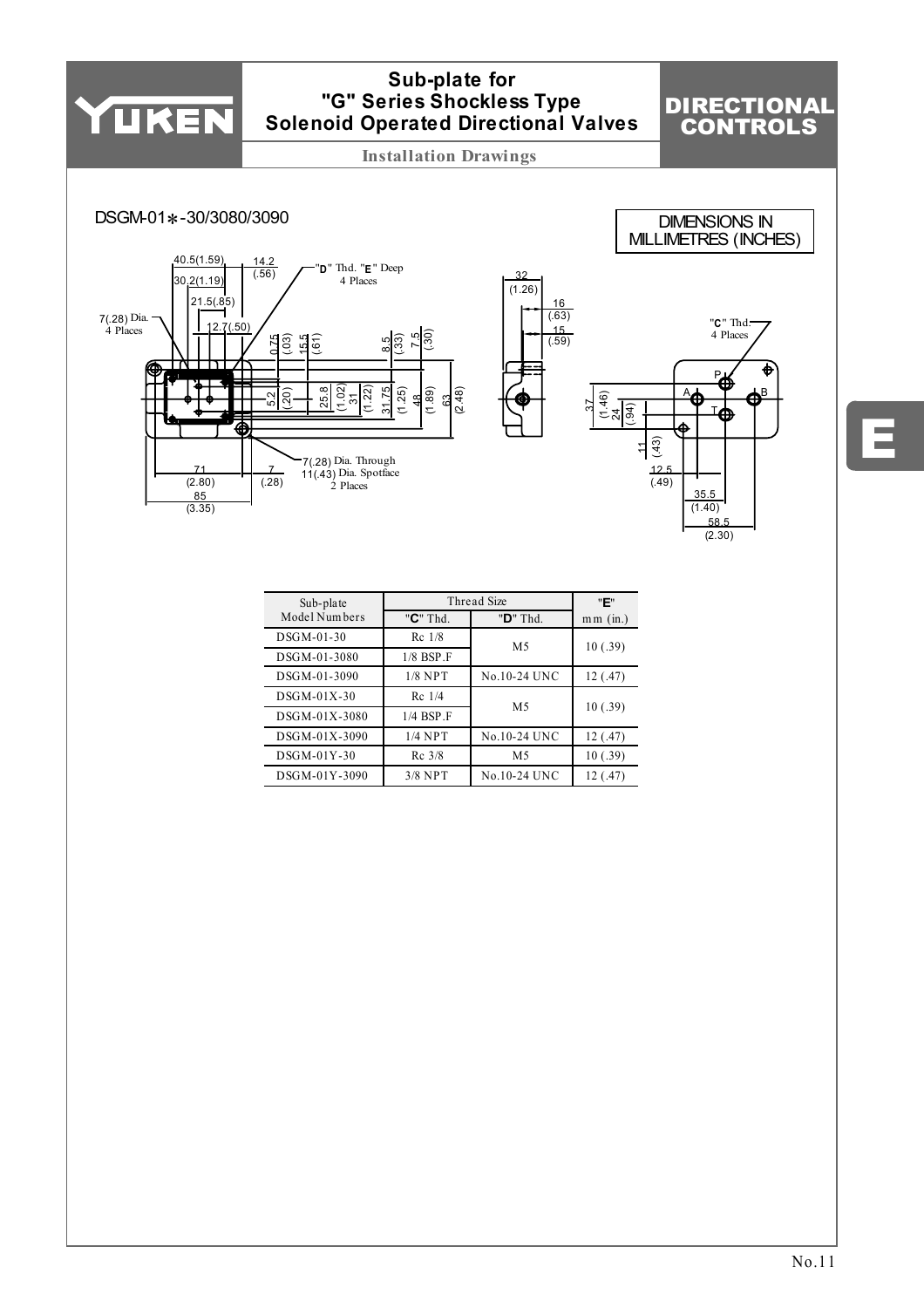

| Sub-plate     |                          | Thread Size         | "Е"        |
|---------------|--------------------------|---------------------|------------|
| Model Numbers | "C" Thd.                 | "D" Thd.            | $mm$ (in.) |
| $DSGM-01-30$  | $Re$ 1/8                 | M <sub>5</sub>      | 10(.39)    |
| DSGM-01-3080  | $1/8$ BSP $\overline{F}$ |                     |            |
| DSGM-01-3090  | $1/8$ NPT                | <b>No.10-24 UNC</b> | 12(.47)    |
| $DSGM-01X-30$ | $Re$ 1/4                 |                     |            |
| DSGM-01X-3080 | $1/4$ BSP $\Gamma$       | M <sub>5</sub>      | 10(.39)    |
| DSGM-01X-3090 | $1/4$ NPT                | <b>No.10-24 UNC</b> | 12(.47)    |
| $DSGM-01Y-30$ | $Rc$ 3/8                 | M5                  | 10(.39)    |
| DSGM-01Y-3090 | $3/8$ NPT                | <b>No.10-24 UNC</b> | 12 (.47)   |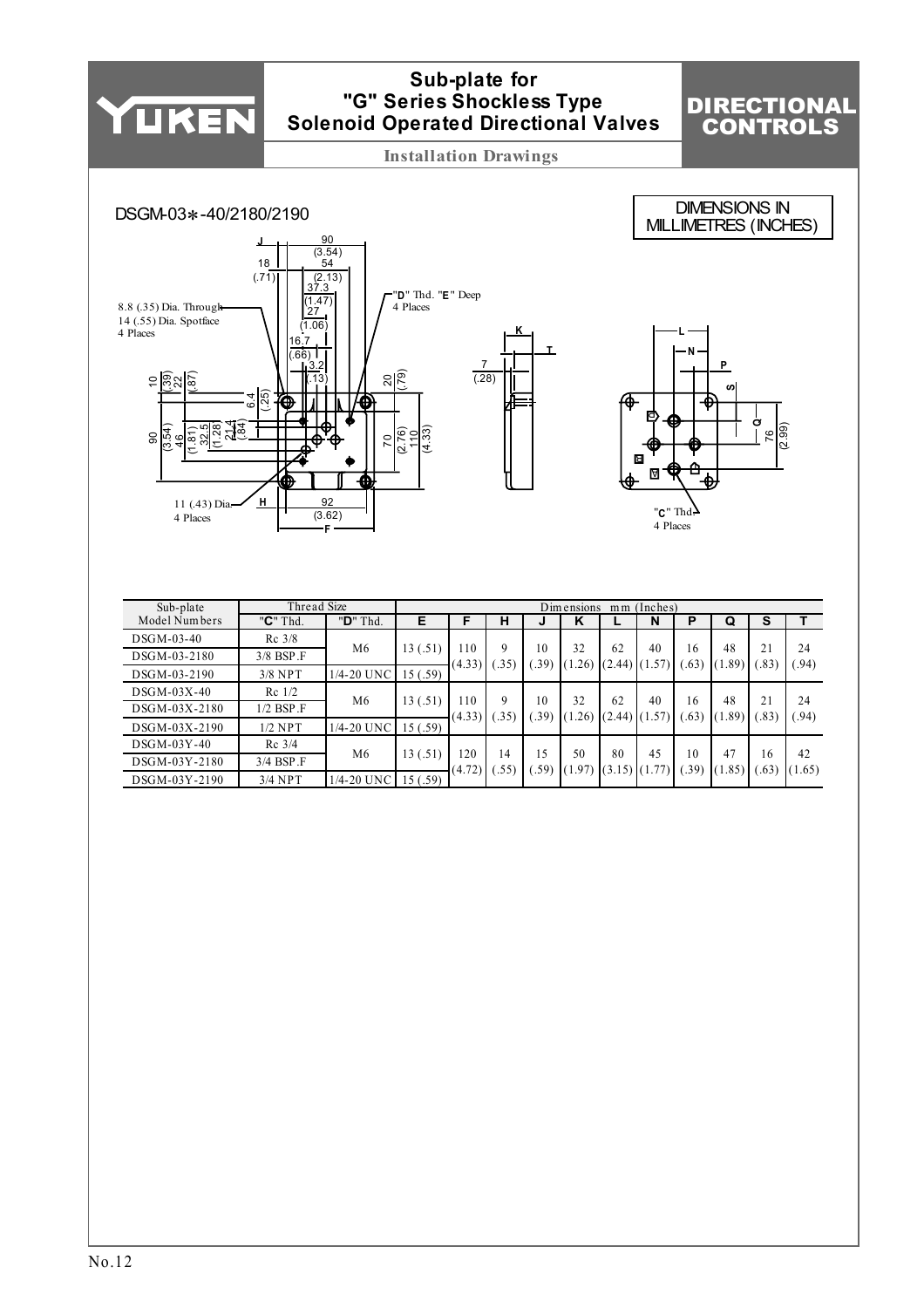

| DSGM-03-40    | $Rc$ 3/8           | M6         |          | 10              | Q          | 10         | 32           | 62                      | 40 | 16         | 48     | 21        | 24           |
|---------------|--------------------|------------|----------|-----------------|------------|------------|--------------|-------------------------|----|------------|--------|-----------|--------------|
| DSGM-03-2180  | $3/8$ BSP $\Gamma$ |            | 13 (.51) | (4.33)          | .35)       | (.39)      | (1.26)       | $(2.44)$ $(1.57)$       |    | (.63)      | (1.89) | (.83)     | (94)         |
| DSGM-03-2190  | $3/8$ NPT          | 1/4-20 UNC | 15(.59)  |                 |            |            |              |                         |    |            |        |           |              |
| $DSGM-03X-40$ | $Re$ 1/2           | M6         |          | $\overline{10}$ | Q          | 10         | 32           | 62                      | 40 | 16         | 48     | 21        | 24           |
| DSGM-03X-2180 | $1/2$ BSP $\Gamma$ |            | 13 (.51) | (4.33)          | .35)       | (.39)      | (1.26)       | $(2.44)$ $(1.57)$       |    | (.63)      | (1.89) | (.83)     | (94)         |
| DSGM-03X-2190 | $1/2$ NPT          | 1/4-20 UNC | 15(.59)  |                 |            |            |              |                         |    |            |        |           |              |
| $DSGM-03Y-40$ | $Rc$ 3/4           |            |          |                 |            |            |              |                         |    |            | 47     |           |              |
| DSGM-03Y-2180 | $3/4$ BSP $\Gamma$ | M6         | 13 (.51) | 120<br>(4.72)   | 14<br>.55) | 15<br>.59) | 50<br>(1.97) | 80<br>$(3.15)$ $(1.77)$ | 45 | 10<br>.39) | (1.85) | 16<br>.63 | 42<br>(1.65) |
| DSGM-03Y-2190 | $3/4$ NPT          | 1/4-20 UNC | 15(.59)  |                 |            |            |              |                         |    |            |        |           |              |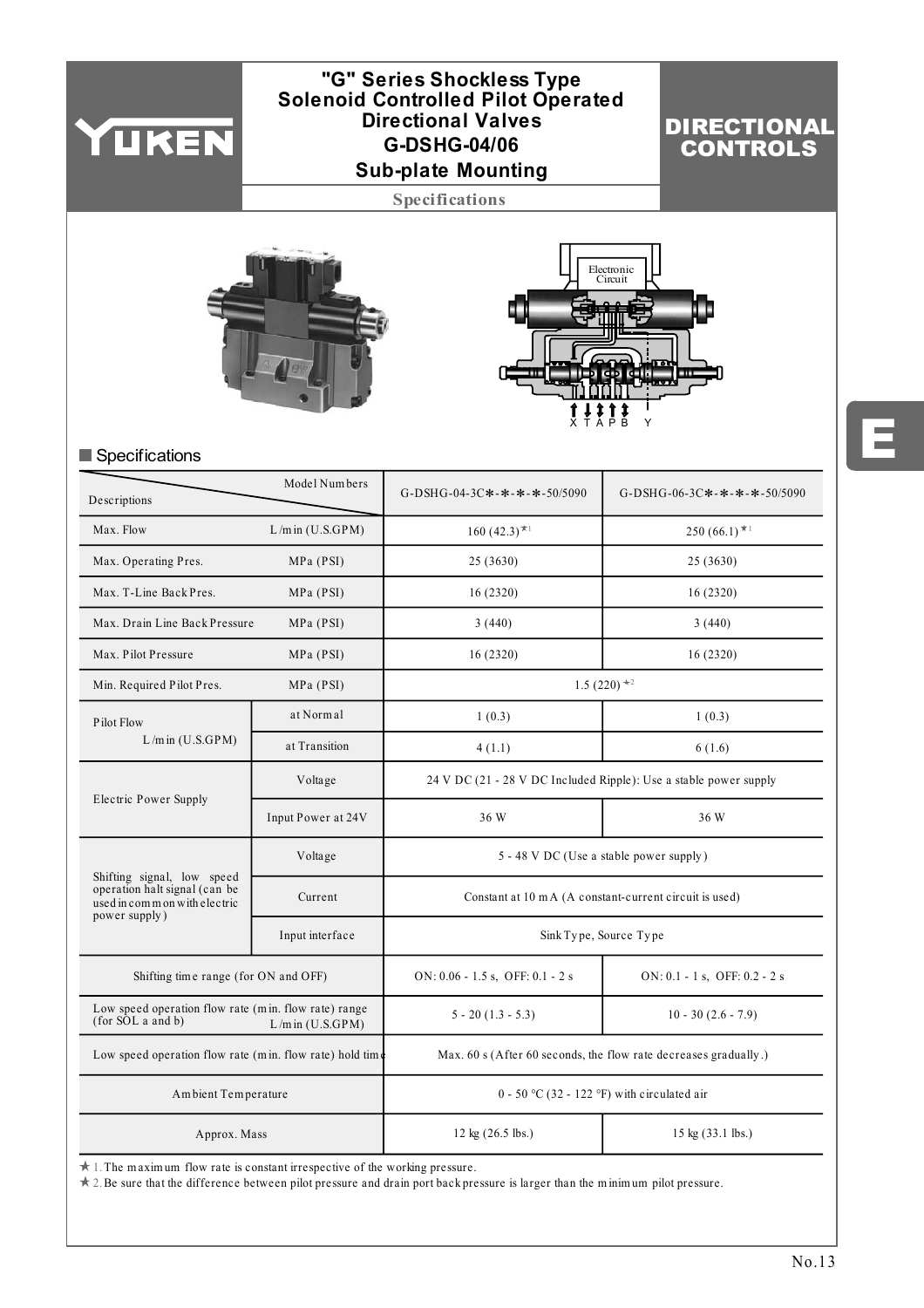

# **Sub-plate Mounting G-DSHG-04/06 "G" Series Shockless Type Solenoid Controlled Pilot Operated Directional Valves**

# DIRECTIONAL CONTROLS

**Specifications**





# Specifications

| Descriptions                                                                                                 | Model Numbers        | G-DSHG-04-3C*-*-*-*-50/5090                                       | G-DSHG-06-3C*-*-*-*-50/5090   |  |  |  |  |  |
|--------------------------------------------------------------------------------------------------------------|----------------------|-------------------------------------------------------------------|-------------------------------|--|--|--|--|--|
| Max. Flow                                                                                                    | $L/m$ in $(U.S.GPM)$ | $160 (42.3)^{\star}$                                              | 250 (66.1) $*1$               |  |  |  |  |  |
| Max. Operating Pres.                                                                                         | MPa (PSI)            | 25 (3630)                                                         | 25(3630)                      |  |  |  |  |  |
| Max. T-Line Back Pres.                                                                                       | MPa (PSI)            | 16(2320)                                                          | 16(2320)                      |  |  |  |  |  |
| Max. Drain Line Back Pressure                                                                                | MPa (PSI)            | 3(440)                                                            | 3(440)                        |  |  |  |  |  |
| Max. Pilot Pressure                                                                                          | MPa (PSI)            | 16(2320)                                                          | 16(2320)                      |  |  |  |  |  |
| Min. Required Pilot Pres.                                                                                    | MPa (PSI)            |                                                                   | 1.5 (220) $*$ <sup>2</sup>    |  |  |  |  |  |
| Pilot Flow                                                                                                   | at Normal            | 1(0.3)                                                            | 1(0.3)                        |  |  |  |  |  |
| $L/m$ in $(U.S.GPM)$                                                                                         | at Transition        | 4(1.1)                                                            | 6(1.6)                        |  |  |  |  |  |
|                                                                                                              | Voltage              | 24 V DC (21 - 28 V DC Included Ripple): Use a stable power supply |                               |  |  |  |  |  |
| Electric Power Supply                                                                                        | Input Power at 24V   | 36 W                                                              | 36 W                          |  |  |  |  |  |
|                                                                                                              | Voltage              | 5 - 48 V DC (Use a stable power supply)                           |                               |  |  |  |  |  |
| Shifting signal, low speed<br>operation halt signal (can be<br>used in common with electric<br>power supply) | Current              | Constant at 10 m A (A constant-current circuit is used)           |                               |  |  |  |  |  |
|                                                                                                              | Input interface      | Sink Type, Source Type                                            |                               |  |  |  |  |  |
| Shifting time range (for ON and OFF)                                                                         |                      | ON: $0.06 - 1.5$ s, OFF: $0.1 - 2$ s                              | ON: 0.1 - 1 s, OFF: 0.2 - 2 s |  |  |  |  |  |
| Low speed operation flow rate (min. flow rate) range<br>(for SOL a and b)                                    | $L/m$ in $(U.S.GPM)$ | $5 - 20(1.3 - 5.3)$<br>$10 - 30(2.6 - 7.9)$                       |                               |  |  |  |  |  |
| Low speed operation flow rate (min. flow rate) hold time                                                     |                      | Max. 60 s (After 60 seconds, the flow rate decreases gradually.)  |                               |  |  |  |  |  |
| Ambient Temperature                                                                                          |                      | $0 - 50$ °C (32 - 122 °F) with circulated air                     |                               |  |  |  |  |  |
| Approx. Mass                                                                                                 |                      | 12 kg (26.5 lbs.)                                                 | 15 kg (33.1 lbs.)             |  |  |  |  |  |
| $\pm$ 1. The maximum flow rate is constant irrespective of the working pressure                              |                      |                                                                   |                               |  |  |  |  |  |

1. The m axim um flow rate is constant irrespective of the working pressure.

2. Be sure that the difference between pilot pressure and drain port back pressure is larger than the m inim um pilot pressure.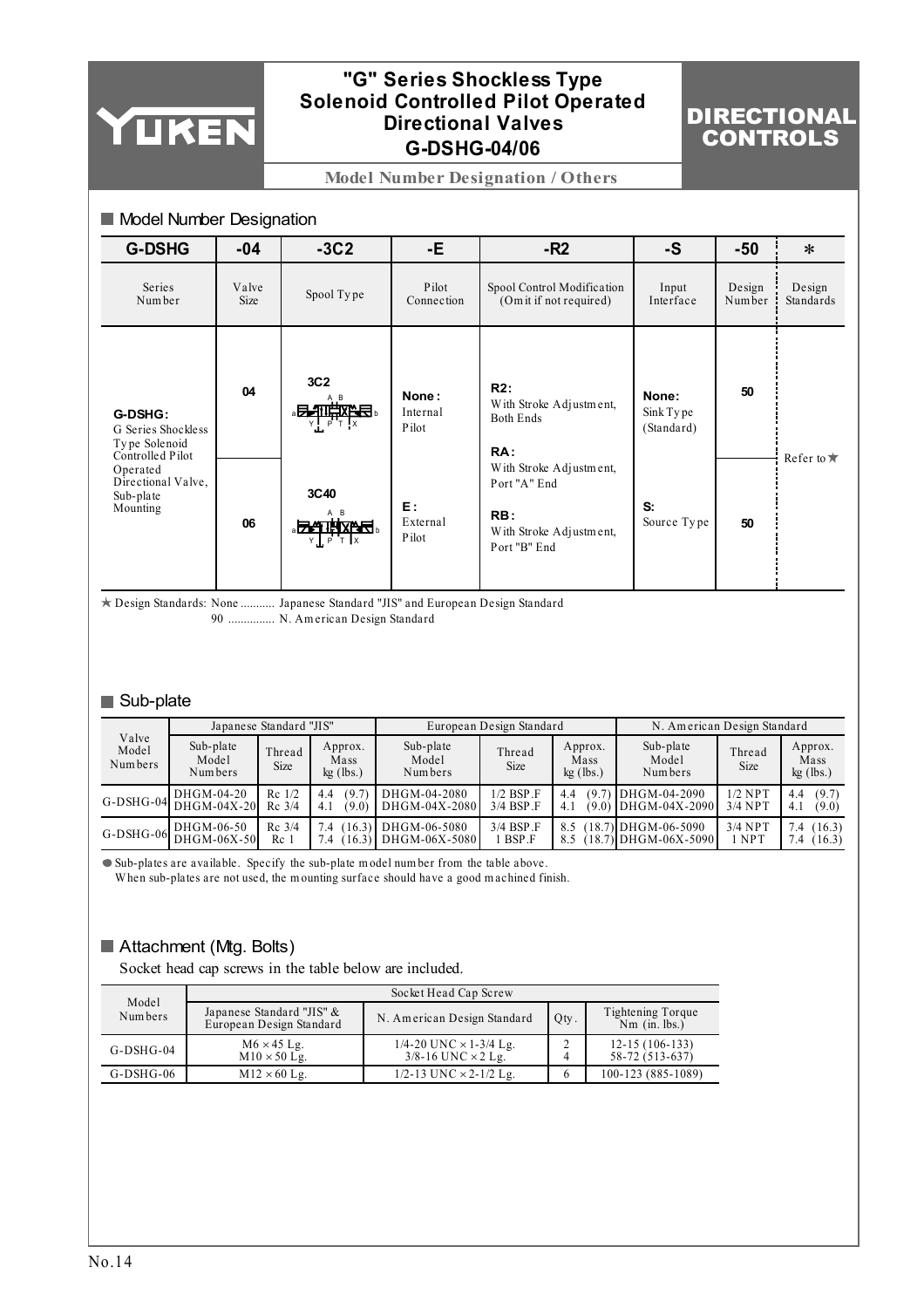

# **G-DSHG-04/06 "G" Series Shockless Type Solenoid Controlled Pilot Operated Directional Valves**

# DIRECTIONAL CONTROLS

**Model Number Designation / Others**

| Model Number Designation                                           |               |                                     |                            |                                                                                           |                                  |                  |                     |  |  |  |  |
|--------------------------------------------------------------------|---------------|-------------------------------------|----------------------------|-------------------------------------------------------------------------------------------|----------------------------------|------------------|---------------------|--|--|--|--|
| <b>G-DSHG</b>                                                      | $-04$         | $-3C2$                              | -Е.                        | $-R2$                                                                                     | $-S$                             | -50              | $\ast$              |  |  |  |  |
| Series<br>Number                                                   | Valve<br>Size | Spool Type                          | Pilot<br>Connection        | Spool Control Modification<br>(Om it if not required)                                     | Input<br>Interface               | Design<br>Number | Design<br>Standards |  |  |  |  |
| G-DSHG:<br>G Series Shockless<br>Type Solenoid<br>Controlled Pilot | 04            | 3C <sub>2</sub><br>。另一批饮作品。<br>PT X | None:<br>Internal<br>Pilot | R2:<br>With Stroke Adjustment,<br><b>Both Ends</b><br>RA:                                 | None:<br>Sink Type<br>(Standard) | 50               |                     |  |  |  |  |
| Operated<br>Directional Valve,<br>Sub-plate<br>Mounting            | 06            | 3C40<br>。云之非以为名。<br>Y P T X         | E:<br>External<br>Pilot    | With Stroke Adjustment,<br>Port "A" End<br>RB:<br>With Stroke Adjustment,<br>Port "B" End | S:<br>Source Type                | 50               | Refer to $\bigstar$ |  |  |  |  |

Design Standards: None ........... Japanese Standard "JIS" and European Design Standard 90 N. Am erican Design Standard ...............

# Sub-plate

| Japanese Standard "JIS"   |                                                   |                             |                                | European Design Standard                        |                                   |                                | N. American Design Standard                  |                        |                                |
|---------------------------|---------------------------------------------------|-----------------------------|--------------------------------|-------------------------------------------------|-----------------------------------|--------------------------------|----------------------------------------------|------------------------|--------------------------------|
| Valve<br>Model<br>Numbers | Sub-plate<br>Model<br>Numbers                     | Thread<br><b>Size</b>       | Approx.<br>Mass<br>$kg$ (lbs.) | Sub-plate<br>Model<br>Numbers                   | Thread<br><b>Size</b>             | Approx.<br>Mass<br>$kg$ (lbs.) | Sub-plate<br>Model<br>Numbers                | Thread<br><b>Size</b>  | Approx.<br>Mass<br>$kg$ (lbs.) |
|                           | G-DSHG-04 DHGM-04-20                              | $Re$ 1/2<br>$Rc$ 3/4        | (9.7)<br>4.4<br>4.1<br>(9.0)   | DHGM-04-2080<br>DHGM-04X-2080                   | $1/2$ BSP $\Gamma$<br>$3/4$ BSP F | (9.7)<br>4.4<br>(9.0)<br>4.1   | DHGM-04-2090<br>$IDHGM-04X-2090$             | $1/2$ NPT<br>$3/4$ NPT | (9.7)<br>4.4<br>(9.0)<br>4.1   |
|                           | DHGM-06-50<br>G-DSHG-06 $\overline{DHGM}$ -06X-50 | $Rc$ 3/4<br>Re <sub>1</sub> | 7.4<br>.4                      | $(16.3)$ DHGM-06-5080<br>[16.3)] DHGM-06X-5080] | $3/4$ BSP F<br>l BSP.F            | 8.5                            | $(18.7)$ DHGM-06-5090<br>18.7 IDHGM-06X-5090 | $3/4$ NPT<br>1 NPT     | (16.3)<br>7.4<br>7.4<br>(16.3) |

Sub-plates are available. Specify the sub-plate m odel num ber from the table above.

W hen sub-plates are not used, the m ounting surface should have a good m achined finish.

# Attachment (Mtg. Bolts)

Socket head cap screws in the table below are included.

| Model            | Socket Head Cap Screw                                 |                                                                |      |                                      |  |  |  |  |  |  |
|------------------|-------------------------------------------------------|----------------------------------------------------------------|------|--------------------------------------|--|--|--|--|--|--|
| Numbers          | Japanese Standard "JIS" &<br>European Design Standard | N. American Design Standard                                    | Qty. | Tightening Torque<br>$Nm$ (in. lbs.) |  |  |  |  |  |  |
| $G$ -DSH $G$ -04 | $M6 \times 45$ Lg.<br>$M10 \times 50$ Lg.             | 1/4-20 UNC $\times$ 1-3/4 Lg.<br>$3/8 - 16$ UNC $\times$ 2 Lg. |      | $12-15(106-133)$<br>58-72 (513-637)  |  |  |  |  |  |  |
| $G$ -DSH $G$ -06 | $M12 \times 60$ Lg.                                   | 1/2-13 UNC $\times$ 2-1/2 Lg.                                  |      | 100-123 (885-1089)                   |  |  |  |  |  |  |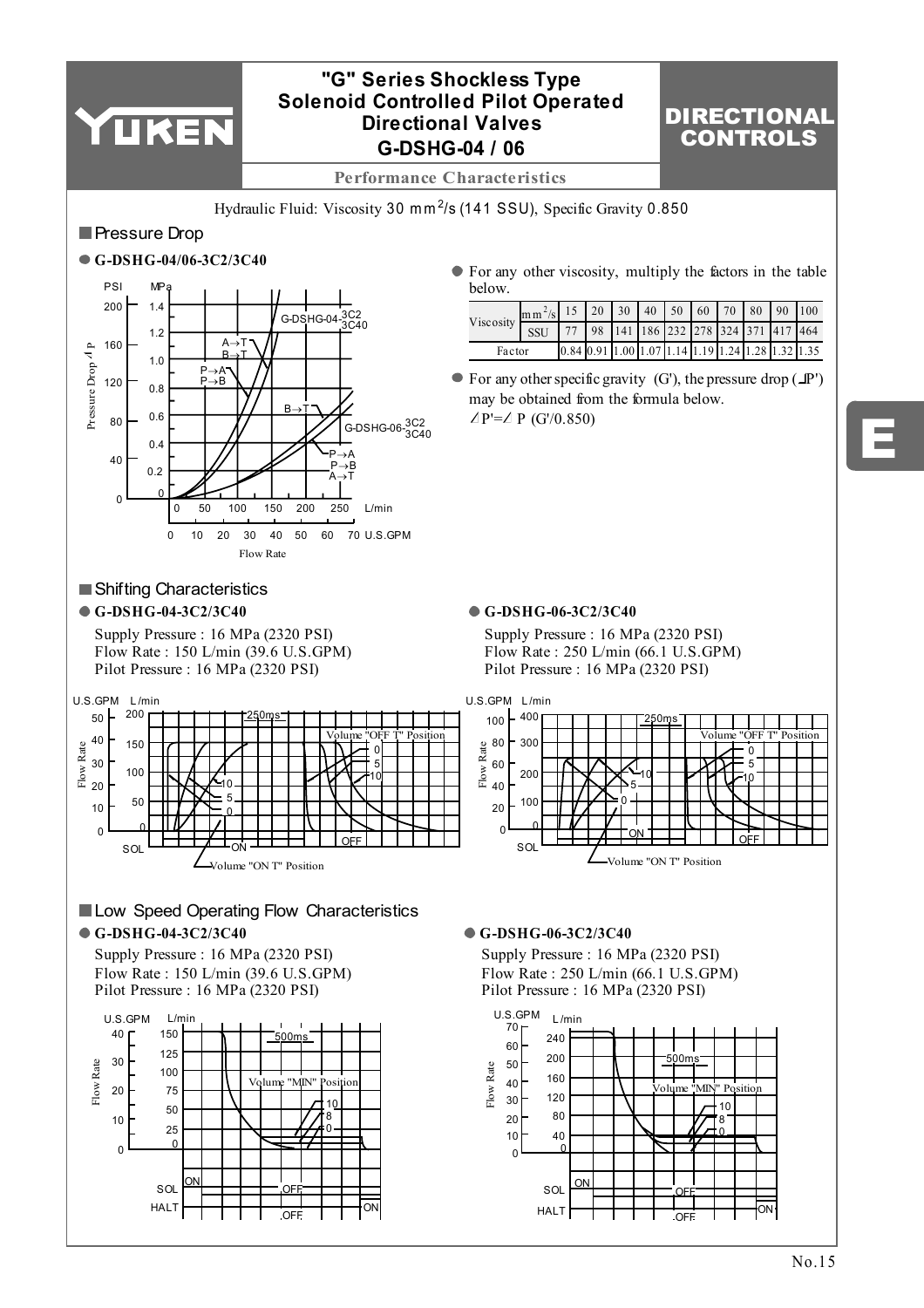

# **G-DSHG-04 / 06 "G" Series Shockless Type Solenoid Controlled Pilot Operated Directional Valves**

# DIRECTIONAL CONTROLS

E

**Performance Characteristics**

Hydraulic Fluid: Viscosity 30 mm<sup>2</sup>/s (141 SSU), Specific Gravity 0.850

# **Pressure Drop**



# **Shifting Characteristics**

Supply Pressure : 16 MPa (2320 PSI) Flow Rate : 150 L/min (39.6 U.S.GPM) Pilot Pressure : 16 MPa (2320 PSI)



| Viscosity | $\left[\text{mm}^2\text{/s}\right]$ 15   20   30   40   50   60   70   80   90   100 |                                                                         |  |  |  |  |  |
|-----------|--------------------------------------------------------------------------------------|-------------------------------------------------------------------------|--|--|--|--|--|
|           |                                                                                      | 77 98 141 186 232 278 324 371 417 464                                   |  |  |  |  |  |
| Factor    |                                                                                      | $[0.84 \ 0.91 \ 1.00 \ 1.07 \ 1.14 \ 1.19 \ 1.24 \ 1.28 \ 1.32 \ 1.35]$ |  |  |  |  |  |

 $\bullet$  For any other specific gravity (G'), the pressure drop ( $\Box P'$ ) may be obtained from the formula below.  $\angle P'=\angle P$  (G'/0.850)

## **G-DSHG-04-3C2/3C40 G-DSHG-06-3C2/3C40**

Supply Pressure : 16 MPa (2320 PSI) Flow Rate : 250 L/min (66.1 U.S.GPM) Pilot Pressure : 16 MPa (2320 PSI)



# **Low Speed Operating Flow Characteristics G-DSHG-04-3C2/3C40 G-DSHG-06-3C2/3C40**

Supply Pressure : 16 MPa (2320 PSI) Flow Rate : 150 L/min (39.6 U.S.GPM) Pilot Pressure : 16 MPa (2320 PSI)



Supply Pressure : 16 MPa (2320 PSI) Flow Rate : 250 L/min (66.1 U.S.GPM) Pilot Pressure : 16 MPa (2320 PSI)

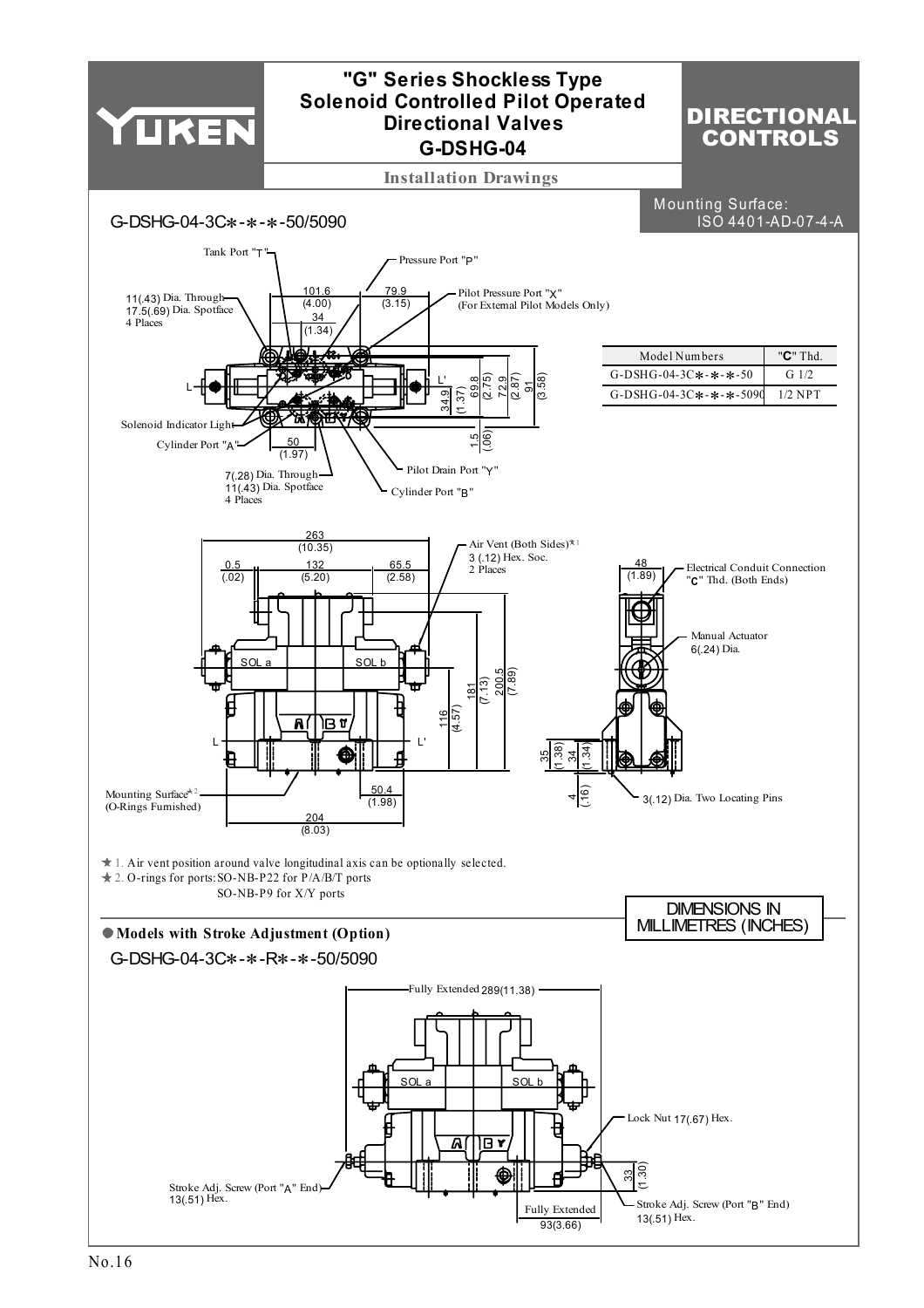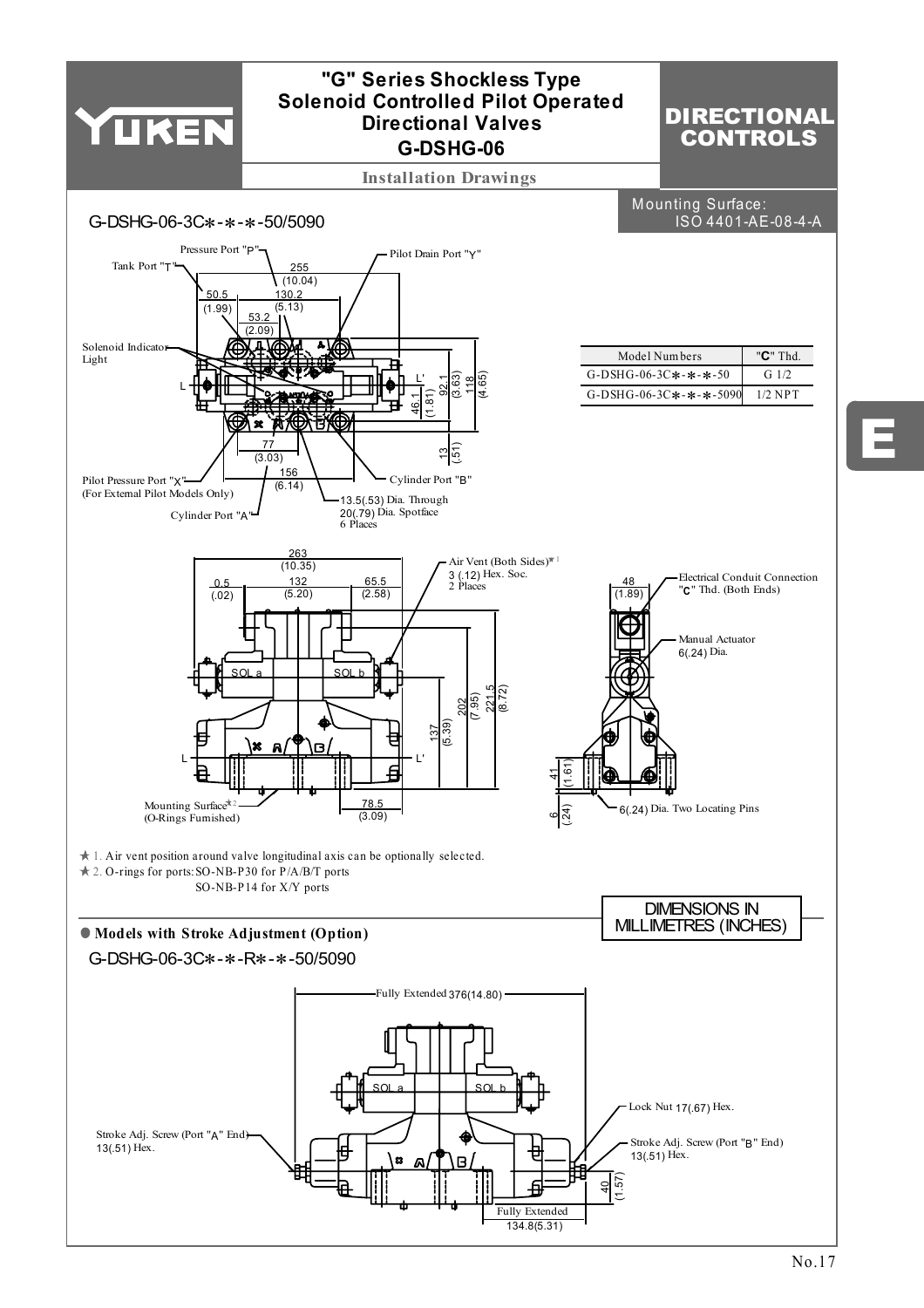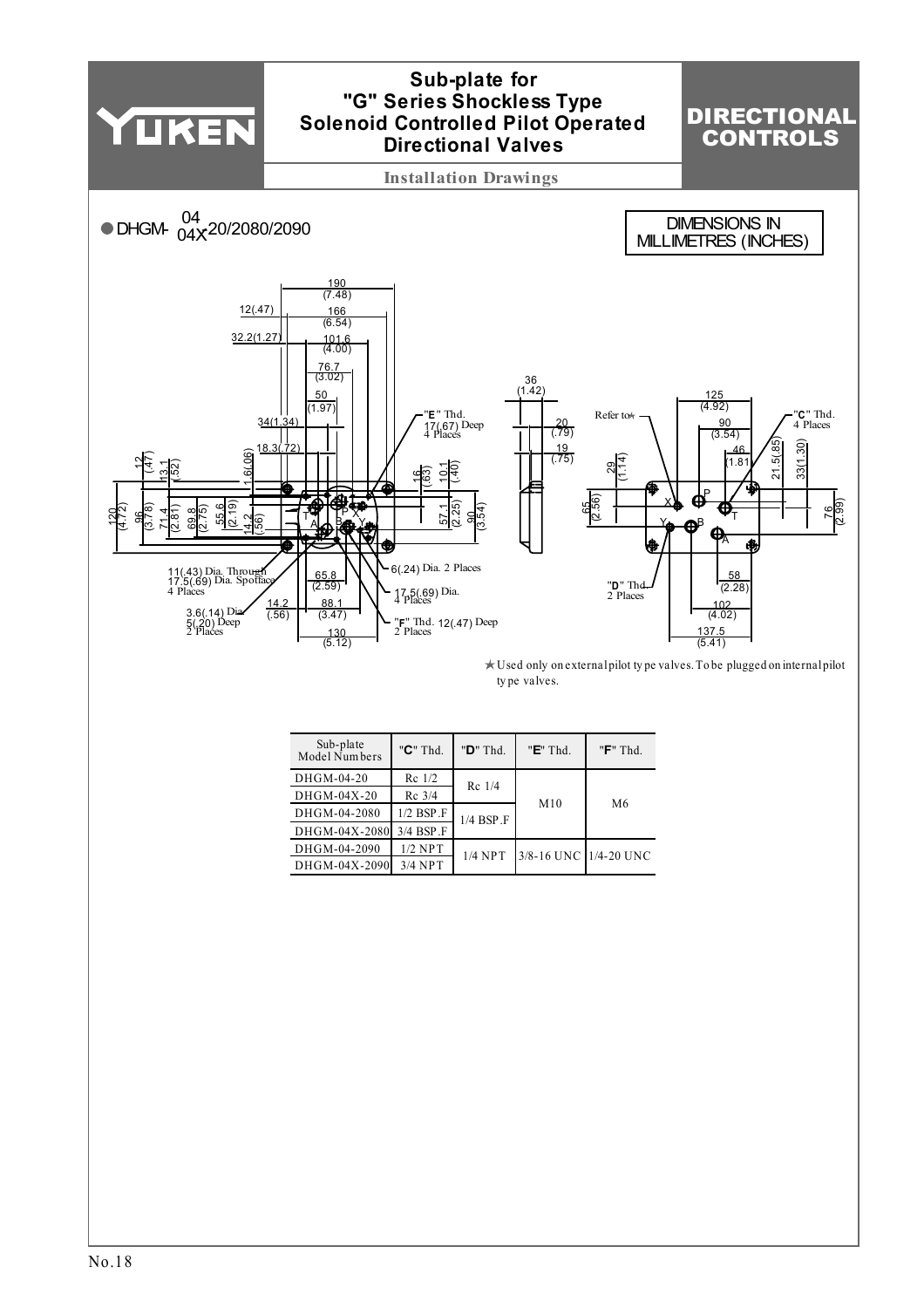